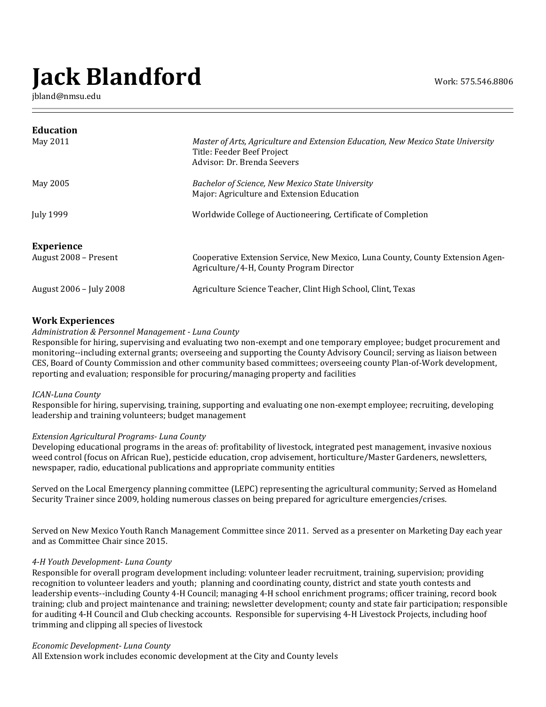# **Jack Blandford**

jbland@nmsu.edu

| Education<br>May 2011                      | Master of Arts, Agriculture and Extension Education, New Mexico State University<br>Title: Feeder Beef Project<br>Advisor: Dr. Brenda Seevers |
|--------------------------------------------|-----------------------------------------------------------------------------------------------------------------------------------------------|
| May 2005                                   | Bachelor of Science, New Mexico State University<br>Major: Agriculture and Extension Education                                                |
| <b>July 1999</b>                           | Worldwide College of Auctioneering, Certificate of Completion                                                                                 |
| <b>Experience</b><br>August 2008 – Present | Cooperative Extension Service, New Mexico, Luna County, County Extension Agen-<br>Agriculture/4-H, County Program Director                    |
| August 2006 – July 2008                    | Agriculture Science Teacher, Clint High School, Clint, Texas                                                                                  |

## **Work Experiences**

*Administration & Personnel Management - Luna County*

Responsible for hiring, supervising and evaluating two non-exempt and one temporary employee; budget procurement and monitoring--including external grants; overseeing and supporting the County Advisory Council; serving as liaison between CES, Board of County Commission and other community based committees; overseeing county Plan-of-Work development, reporting and evaluation; responsible for procuring/managing property and facilities

## *ICAN-Luna County*

Responsible for hiring, supervising, training, supporting and evaluating one non-exempt employee; recruiting, developing leadership and training volunteers; budget management

## *Extension Agricultural Programs- Luna County*

Developing educational programs in the areas of: profitability of livestock, integrated pest management, invasive noxious weed control (focus on African Rue), pesticide education, crop advisement, horticulture/Master Gardeners, newsletters, newspaper, radio, educational publications and appropriate community entities

Served on the Local Emergency planning committee (LEPC) representing the agricultural community; Served as Homeland Security Trainer since 2009, holding numerous classes on being prepared for agriculture emergencies/crises.

Served on New Mexico Youth Ranch Management Committee since 2011. Served as a presenter on Marketing Day each year and as Committee Chair since 2015.

## *4-H Youth Development- Luna County*

Responsible for overall program development including: volunteer leader recruitment, training, supervision; providing recognition to volunteer leaders and youth; planning and coordinating county, district and state youth contests and leadership events--including County 4-H Council; managing 4-H school enrichment programs; officer training, record book training; club and project maintenance and training; newsletter development; county and state fair participation; responsible for auditing 4-H Council and Club checking accounts. Responsible for supervising 4-H Livestock Projects, including hoof trimming and clipping all species of livestock

#### *Economic Development- Luna County*

All Extension work includes economic development at the City and County levels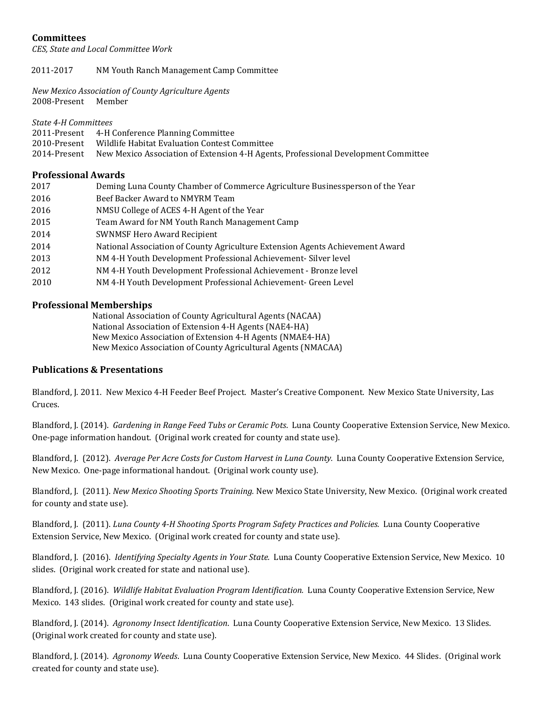# **Committees**

*CES, State and Local Committee Work*

2011-2017 NM Youth Ranch Management Camp Committee

*New Mexico Association of County Agriculture Agents* 2008-Present Member

*State 4-H Committees*

| 2011-Present 4-H Conference Planning Committee                                                  |
|-------------------------------------------------------------------------------------------------|
| 2010-Present Wildlife Habitat Evaluation Contest Committee                                      |
| 2014-Present New Mexico Association of Extension 4-H Agents, Professional Development Committee |

## **Professional Awards**

| 2017 | Deming Luna County Chamber of Commerce Agriculture Businessperson of the Year |
|------|-------------------------------------------------------------------------------|
| 2016 | Beef Backer Award to NMYRM Team                                               |
| 2016 | NMSU College of ACES 4-H Agent of the Year                                    |
| 2015 | Team Award for NM Youth Ranch Management Camp                                 |
| 2014 | <b>SWNMSF Hero Award Recipient</b>                                            |
| 2014 | National Association of County Agriculture Extension Agents Achievement Award |
| 2013 | NM 4-H Youth Development Professional Achievement-Silver level                |
| 2012 | NM 4-H Youth Development Professional Achievement - Bronze level              |
| 2010 | NM 4-H Youth Development Professional Achievement- Green Level                |
|      |                                                                               |

## **Professional Memberships**

National Association of County Agricultural Agents (NACAA) National Association of Extension 4-H Agents (NAE4-HA) New Mexico Association of Extension 4-H Agents (NMAE4-HA) New Mexico Association of County Agricultural Agents (NMACAA)

## **Publications & Presentations**

Blandford, J. 2011. New Mexico 4-H Feeder Beef Project. Master's Creative Component. New Mexico State University, Las Cruces.

Blandford, J. (2014). *Gardening in Range Feed Tubs or Ceramic Pots*. Luna County Cooperative Extension Service, New Mexico. One-page information handout. (Original work created for county and state use).

Blandford, J. (2012). *Average Per Acre Costs for Custom Harvest in Luna County.* Luna County Cooperative Extension Service, New Mexico. One-page informational handout. (Original work county use).

Blandford, J. (2011). *New Mexico Shooting Sports Training.* New Mexico State University, New Mexico. (Original work created for county and state use).

Blandford, J. (2011). *Luna County 4-H Shooting Sports Program Safety Practices and Policies.* Luna County Cooperative Extension Service, New Mexico. (Original work created for county and state use).

Blandford, J. (2016). *Identifying Specialty Agents in Your State.* Luna County Cooperative Extension Service, New Mexico. 10 slides. (Original work created for state and national use).

Blandford, J. (2016). *Wildlife Habitat Evaluation Program Identification.* Luna County Cooperative Extension Service, New Mexico. 143 slides. (Original work created for county and state use).

Blandford, J. (2014). *Agronomy Insect Identification*. Luna County Cooperative Extension Service, New Mexico. 13 Slides. (Original work created for county and state use).

Blandford, J. (2014). *Agronomy Weeds*. Luna County Cooperative Extension Service, New Mexico. 44 Slides. (Original work created for county and state use).